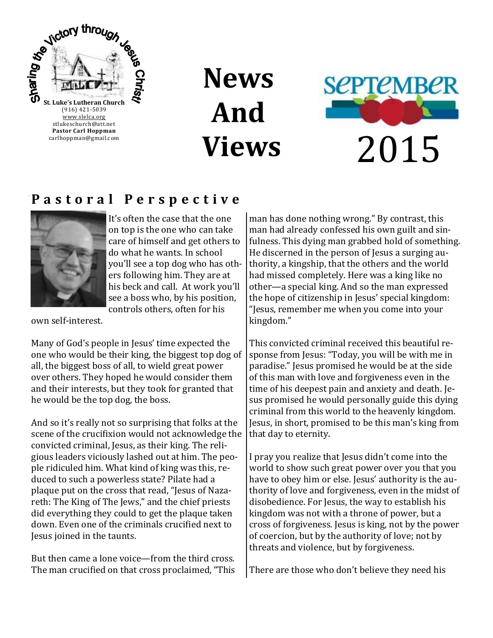

# **News And Views**



### **P a s t o r a l P e r s p e c t i v e**



It's often the case that the one on top is the one who can take care of himself and get others to do what he wants. In school you'll see a top dog who has others following him. They are at his beck and call. At work you'll see a boss who, by his position, controls others, often for his

own self-interest.

Many of God's people in Jesus' time expected the one who would be their king, the biggest top dog of all, the biggest boss of all, to wield great power over others. They hoped he would consider them and their interests, but they took for granted that he would be the top dog, the boss.

And so it's really not so surprising that folks at the scene of the crucifixion would not acknowledge the convicted criminal, Jesus, as their king. The religious leaders viciously lashed out at him. The people ridiculed him. What kind of king was this, reduced to such a powerless state? Pilate had a plaque put on the cross that read, "Jesus of Nazareth: The King of The Jews," and the chief priests did everything they could to get the plaque taken down. Even one of the criminals crucified next to Jesus joined in the taunts.

But then came a lone voice—from the third cross. The man crucified on that cross proclaimed, "This man has done nothing wrong." By contrast, this man had already confessed his own guilt and sinfulness. This dying man grabbed hold of something. He discerned in the person of Jesus a surging authority, a kingship, that the others and the world had missed completely. Here was a king like no other—a special king. And so the man expressed the hope of citizenship in Jesus' special kingdom: "Jesus, remember me when you come into your kingdom."

This convicted criminal received this beautiful response from Jesus: "Today, you will be with me in paradise." Jesus promised he would be at the side of this man with love and forgiveness even in the time of his deepest pain and anxiety and death. Jesus promised he would personally guide this dying criminal from this world to the heavenly kingdom. Jesus, in short, promised to be this man's king from that day to eternity.

I pray you realize that Jesus didn't come into the world to show such great power over you that you have to obey him or else. Jesus' authority is the authority of love and forgiveness, even in the midst of disobedience. For Jesus, the way to establish his kingdom was not with a throne of power, but a cross of forgiveness. Jesus is king, not by the power of coercion, but by the authority of love; not by threats and violence, but by forgiveness.

There are those who don't believe they need his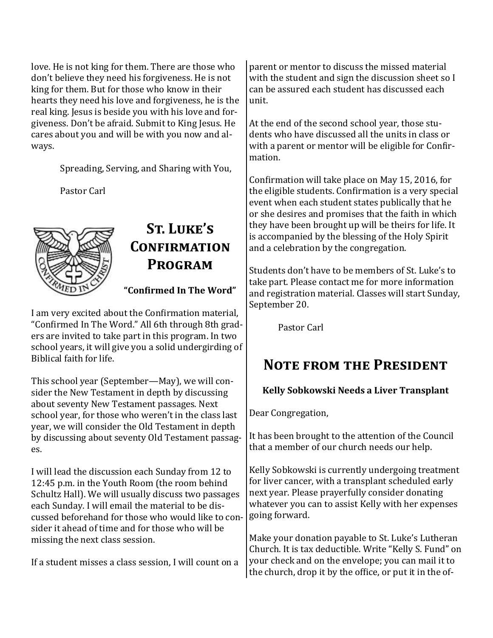love. He is not king for them. There are those who don't believe they need his forgiveness. He is not king for them. But for those who know in their hearts they need his love and forgiveness, he is the real king. Jesus is beside you with his love and forgiveness. Don't be afraid. Submit to King Jesus. He cares about you and will be with you now and always.

Spreading, Serving, and Sharing with You,

Pastor Carl



### **St. Luke's Confirmation Program**

**"Confirmed In The Word"**

I am very excited about the Confirmation material, "Confirmed In The Word." All 6th through 8th graders are invited to take part in this program. In two school years, it will give you a solid undergirding of Biblical faith for life.

This school year (September—May), we will consider the New Testament in depth by discussing about seventy New Testament passages. Next school year, for those who weren't in the class last year, we will consider the Old Testament in depth by discussing about seventy Old Testament passages.

I will lead the discussion each Sunday from 12 to 12:45 p.m. in the Youth Room (the room behind Schultz Hall). We will usually discuss two passages each Sunday. I will email the material to be discussed beforehand for those who would like to consider it ahead of time and for those who will be missing the next class session.

If a student misses a class session, I will count on a

parent or mentor to discuss the missed material with the student and sign the discussion sheet so I can be assured each student has discussed each unit.

At the end of the second school year, those students who have discussed all the units in class or with a parent or mentor will be eligible for Confirmation.

Confirmation will take place on May 15, 2016, for the eligible students. Confirmation is a very special event when each student states publically that he or she desires and promises that the faith in which they have been brought up will be theirs for life. It is accompanied by the blessing of the Holy Spirit and a celebration by the congregation.

Students don't have to be members of St. Luke's to take part. Please contact me for more information and registration material. Classes will start Sunday, September 20.

Pastor Carl

### **Note from the President**

### **Kelly Sobkowski Needs a Liver Transplant**

Dear Congregation,

It has been brought to the attention of the Council that a member of our church needs our help.

Kelly Sobkowski is currently undergoing treatment for liver cancer, with a transplant scheduled early next year. Please prayerfully consider donating whatever you can to assist Kelly with her expenses going forward.

Make your donation payable to St. Luke's Lutheran Church. It is tax deductible. Write "Kelly S. Fund" on your check and on the envelope; you can mail it to the church, drop it by the office, or put it in the of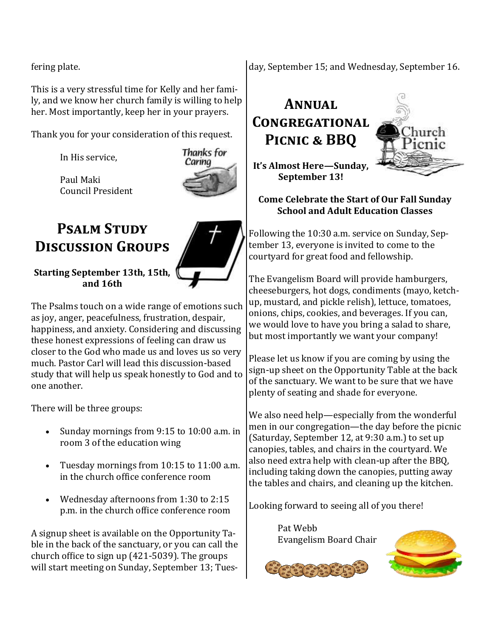fering plate.

This is a very stressful time for Kelly and her family, and we know her church family is willing to help her. Most importantly, keep her in your prayers.

Thank you for your consideration of this request.

In His service,

Council President

Paul Maki



### **Psalm Study Discussion Groups**



**Starting September 13th, 15th, and 16th**

The Psalms touch on a wide range of emotions such as joy, anger, peacefulness, frustration, despair, happiness, and anxiety. Considering and discussing these honest expressions of feeling can draw us closer to the God who made us and loves us so very much. Pastor Carl will lead this discussion-based study that will help us speak honestly to God and to one another.

There will be three groups:

- Sunday mornings from 9:15 to 10:00 a.m. in room 3 of the education wing
- Tuesday mornings from 10:15 to 11:00 a.m. in the church office conference room
- Wednesday afternoons from 1:30 to 2:15 p.m. in the church office conference room

A signup sheet is available on the Opportunity Table in the back of the sanctuary, or you can call the church office to sign up (421-5039). The groups will start meeting on Sunday, September 13; Tuesday, September 15; and Wednesday, September 16.

# **Annual Congregational Picnic & BBQ**



**It's Almost Here—Sunday, September 13!**

#### **Come Celebrate the Start of Our Fall Sunday School and Adult Education Classes**

Following the 10:30 a.m. service on Sunday, September 13, everyone is invited to come to the courtyard for great food and fellowship.

The Evangelism Board will provide hamburgers, cheeseburgers, hot dogs, condiments (mayo, ketchup, mustard, and pickle relish), lettuce, tomatoes, onions, chips, cookies, and beverages. If you can, we would love to have you bring a salad to share, but most importantly we want your company!

Please let us know if you are coming by using the sign-up sheet on the Opportunity Table at the back of the sanctuary. We want to be sure that we have plenty of seating and shade for everyone.

We also need help—especially from the wonderful men in our congregation—the day before the picnic (Saturday, September 12, at 9:30 a.m.) to set up canopies, tables, and chairs in the courtyard. We also need extra help with clean-up after the BBQ, including taking down the canopies, putting away the tables and chairs, and cleaning up the kitchen.

Looking forward to seeing all of you there!

Pat Webb Evangelism Board Chair



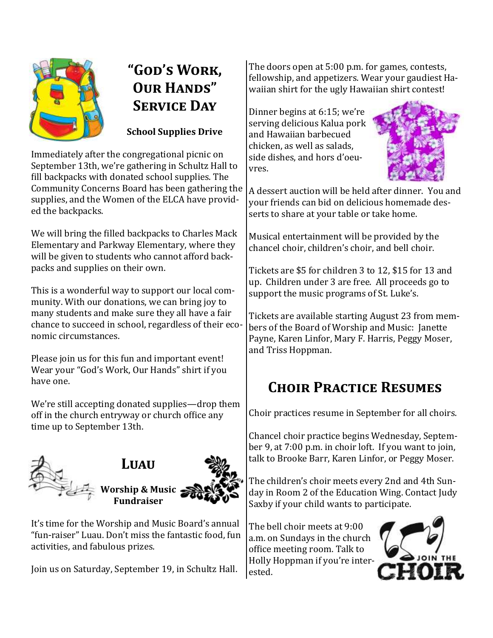

# **"God's Work, OUR HANDS" Service Day**

**School Supplies Drive** 

Immediately after the congregational picnic on September 13th, we're gathering in Schultz Hall to fill backpacks with donated school supplies. The Community Concerns Board has been gathering the supplies, and the Women of the ELCA have provided the backpacks.

We will bring the filled backpacks to Charles Mack Elementary and Parkway Elementary, where they will be given to students who cannot afford backpacks and supplies on their own.

This is a wonderful way to support our local community. With our donations, we can bring joy to many students and make sure they all have a fair chance to succeed in school, regardless of their economic circumstances.

Please join us for this fun and important event! Wear your "God's Work, Our Hands" shirt if you have one.

We're still accepting donated supplies—drop them off in the church entryway or church office any time up to September 13th.



It's time for the Worship and Music Board's annual "fun-raiser" Luau. Don't miss the fantastic food, fun activities, and fabulous prizes.

Join us on Saturday, September 19, in Schultz Hall.

The doors open at 5:00 p.m. for games, contests, fellowship, and appetizers. Wear your gaudiest Hawaiian shirt for the ugly Hawaiian shirt contest!

Dinner begins at 6:15; we're serving delicious Kalua pork and Hawaiian barbecued chicken, as well as salads, side dishes, and hors d'oeuvres.



A dessert auction will be held after dinner. You and your friends can bid on delicious homemade desserts to share at your table or take home.

Musical entertainment will be provided by the chancel choir, children's choir, and bell choir.

Tickets are \$5 for children 3 to 12, \$15 for 13 and up. Children under 3 are free. All proceeds go to support the music programs of St. Luke's.

Tickets are available starting August 23 from members of the Board of Worship and Music: Janette Payne, Karen Linfor, Mary F. Harris, Peggy Moser, and Triss Hoppman.

# **Choir Practice Resumes**

Choir practices resume in September for all choirs.

Chancel choir practice begins Wednesday, September 9, at 7:00 p.m. in choir loft. If you want to join, talk to Brooke Barr, Karen Linfor, or Peggy Moser.

The children's choir meets every 2nd and 4th Sunday in Room 2 of the Education Wing. Contact Judy Saxby if your child wants to participate.

The bell choir meets at 9:00 a.m. on Sundays in the church office meeting room. Talk to Holly Hoppman if you're interested.

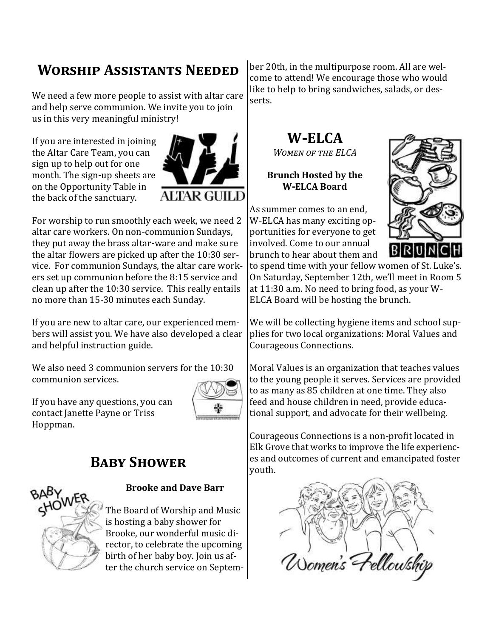# **Worship Assistants Needed**

We need a few more people to assist with altar care and help serve communion. We invite you to join us in this very meaningful ministry!

If you are interested in joining the Altar Care Team, you can sign up to help out for one month. The sign-up sheets are on the Opportunity Table in the back of the sanctuary.



For worship to run smoothly each week, we need 2 altar care workers. On non-communion Sundays, they put away the brass altar-ware and make sure the altar flowers are picked up after the 10:30 service. For communion Sundays, the altar care workers set up communion before the 8:15 service and clean up after the 10:30 service. This really entails no more than 15-30 minutes each Sunday.

If you are new to altar care, our experienced members will assist you. We have also developed a clear and helpful instruction guide.

We also need 3 communion servers for the 10:30 communion services.

If you have any questions, you can contact Janette Payne or Triss Hoppman.



### **BABY SHOWER**



#### **Brooke and Dave Barr**

The Board of Worship and Music is hosting a baby shower for Brooke, our wonderful music director, to celebrate the upcoming birth of her baby boy. Join us after the church service on September 20th, in the multipurpose room. All are welcome to attend! We encourage those who would like to help to bring sandwiches, salads, or desserts.

# **W-ELCA**

*Women of the ELCA*

#### **Brunch Hosted by the W-ELCA Board**

As summer comes to an end, W-ELCA has many exciting opportunities for everyone to get involved. Come to our annual brunch to hear about them and



to spend time with your fellow women of St. Luke's. On Saturday, September 12th, we'll meet in Room 5 at 11:30 a.m. No need to bring food, as your W-ELCA Board will be hosting the brunch.

We will be collecting hygiene items and school supplies for two local organizations: Moral Values and Courageous Connections.

Moral Values is an organization that teaches values to the young people it serves. Services are provided to as many as 85 children at one time. They also feed and house children in need, provide educational support, and advocate for their wellbeing.

Courageous Connections is a non-profit located in Elk Grove that works to improve the life experiences and outcomes of current and emancipated foster youth.

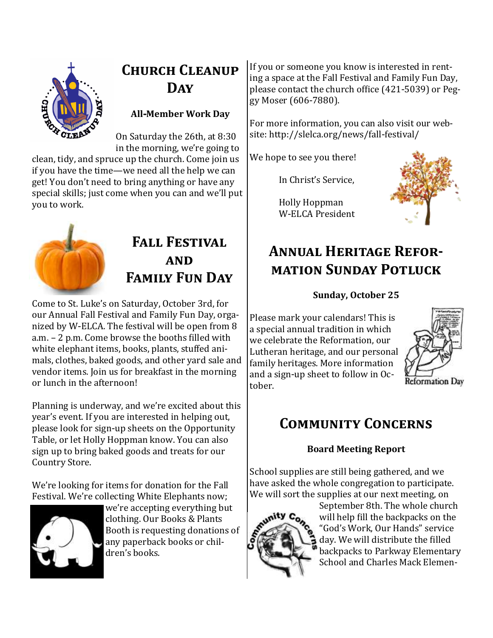

# **Church Cleanup Day**

### **All-Member Work Day**

On Saturday the 26th, at 8:30 in the morning, we're going to

clean, tidy, and spruce up the church. Come join us if you have the time—we need all the help we can get! You don't need to bring anything or have any special skills; just come when you can and we'll put you to work.



### **Fall Festival and Family Fun Day**

Come to St. Luke's on Saturday, October 3rd, for our Annual Fall Festival and Family Fun Day, organized by W-ELCA. The festival will be open from 8 a.m. – 2 p.m. Come browse the booths filled with white elephant items, books, plants, stuffed animals, clothes, baked goods, and other yard sale and vendor items. Join us for breakfast in the morning or lunch in the afternoon!

Planning is underway, and we're excited about this year's event. If you are interested in helping out, please look for sign-up sheets on the Opportunity Table, or let Holly Hoppman know. You can also sign up to bring baked goods and treats for our Country Store.

We're looking for items for donation for the Fall Festival. We're collecting White Elephants now;



we're accepting everything but clothing. Our Books & Plants Booth is requesting donations of any paperback books or children's books.

If you or someone you know is interested in renting a space at the Fall Festival and Family Fun Day, please contact the church office (421-5039) or Peggy Moser (606-7880).

For more information, you can also visit our website: http://slelca.org/news/fall-festival/

We hope to see you there!

In Christ's Service,

Holly Hoppman W-ELCA President



# **Annual Heritage Reformation Sunday Potluck**

### **Sunday, October 25**

Please mark your calendars! This is a special annual tradition in which we celebrate the Reformation, our Lutheran heritage, and our personal family heritages. More information and a sign-up sheet to follow in October.



# **Community Concerns**

### **Board Meeting Report**

School supplies are still being gathered, and we have asked the whole congregation to participate. We will sort the supplies at our next meeting, on



September 8th. The whole church will help fill the backpacks on the "God's Work, Our Hands" service day. We will distribute the filled backpacks to Parkway Elementary School and Charles Mack Elemen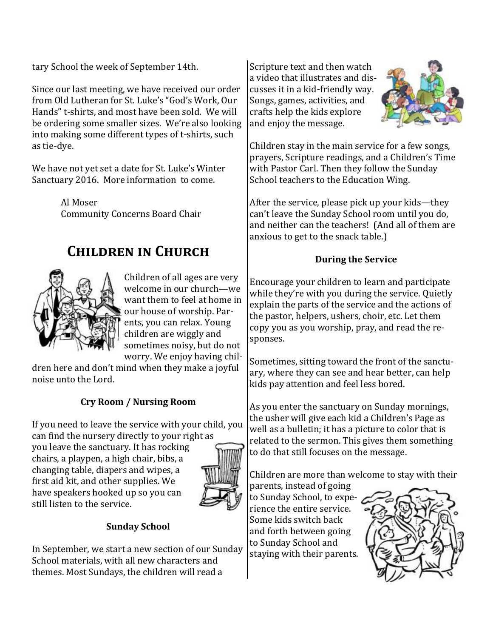tary School the week of September 14th.

Since our last meeting, we have received our order from Old Lutheran for St. Luke's "God's Work, Our Hands" t-shirts, and most have been sold. We will be ordering some smaller sizes. We're also looking into making some different types of t-shirts, such as tie-dye.

We have not yet set a date for St. Luke's Winter Sanctuary 2016. More information to come.

> Al Moser Community Concerns Board Chair

### **Children in Church**



Children of all ages are very welcome in our church—we want them to feel at home in our house of worship. Parents, you can relax. Young children are wiggly and sometimes noisy, but do not worry. We enjoy having chil-

dren here and don't mind when they make a joyful noise unto the Lord.

### **Cry Room / Nursing Room**

If you need to leave the service with your child, you can find the nursery directly to your right as

you leave the sanctuary. It has rocking chairs, a playpen, a high chair, bibs, a changing table, diapers and wipes, a first aid kit, and other supplies. We have speakers hooked up so you can still listen to the service.



#### **Sunday School**

In September, we start a new section of our Sunday School materials, with all new characters and themes. Most Sundays, the children will read a

Scripture text and then watch a video that illustrates and discusses it in a kid-friendly way. Songs, games, activities, and crafts help the kids explore and enjoy the message.



Children stay in the main service for a few songs, prayers, Scripture readings, and a Children's Time with Pastor Carl. Then they follow the Sunday School teachers to the Education Wing.

After the service, please pick up your kids—they can't leave the Sunday School room until you do, and neither can the teachers! (And all of them are anxious to get to the snack table.)

#### **During the Service**

Encourage your children to learn and participate while they're with you during the service. Quietly explain the parts of the service and the actions of the pastor, helpers, ushers, choir, etc. Let them copy you as you worship, pray, and read the responses.

Sometimes, sitting toward the front of the sanctuary, where they can see and hear better, can help kids pay attention and feel less bored.

As you enter the sanctuary on Sunday mornings, the usher will give each kid a Children's Page as well as a bulletin; it has a picture to color that is related to the sermon. This gives them something to do that still focuses on the message.

Children are more than welcome to stay with their

parents, instead of going to Sunday School, to experience the entire service. Some kids switch back and forth between going to Sunday School and staying with their parents.

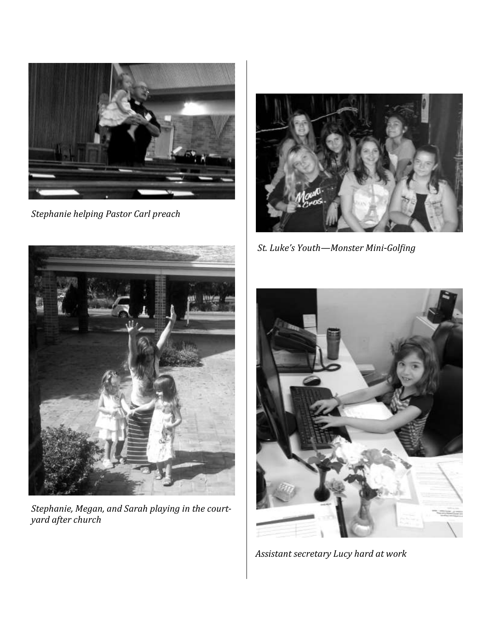

*Stephanie helping Pastor Carl preach*



 *St. Luke's Youth—Monster Mini-Golfing*



*Stephanie, Megan, and Sarah playing in the courtyard after church* 



 *Assistant secretary Lucy hard at work*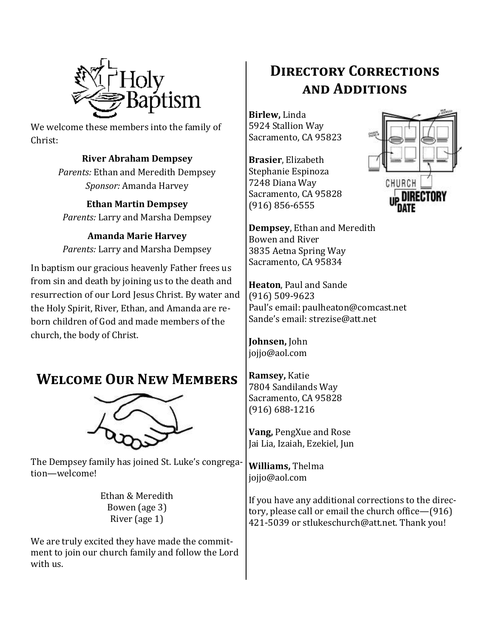

We welcome these members into the family of Christ:

### **River Abraham Dempsey**

*Parents:* Ethan and Meredith Dempsey *Sponsor:* Amanda Harvey

**Ethan Martin Dempsey** *Parents:* Larry and Marsha Dempsey

**Amanda Marie Harvey** *Parents:* Larry and Marsha Dempsey

In baptism our gracious heavenly Father frees us from sin and death by joining us to the death and resurrection of our Lord Jesus Christ. By water and the Holy Spirit, River, Ethan, and Amanda are reborn children of God and made members of the church, the body of Christ.

### **Welcome Our New Members**



The Dempsey family has joined St. Luke's congregation—welcome!

> Ethan & Meredith Bowen (age 3) River (age 1)

We are truly excited they have made the commitment to join our church family and follow the Lord with us.

# **Directory Corrections and Additions**

**Birlew,** Linda 5924 Stallion Way Sacramento, CA 95823

**Brasier**, Elizabeth Stephanie Espinoza 7248 Diana Way Sacramento, CA 95828 (916) 856-6555



**Dempsey**, Ethan and Meredith Bowen and River 3835 Aetna Spring Way Sacramento, CA 95834

**Heaton**, Paul and Sande (916) 509-9623 Paul's email: paulheaton@comcast.net Sande's email: strezise@att.net

**Johnsen,** John jojjo@aol.com

**Ramsey,** Katie 7804 Sandilands Way Sacramento, CA 95828 (916) 688-1216

**Vang,** PengXue and Rose Jai Lia, Izaiah, Ezekiel, Jun

**Williams,** Thelma jojjo@aol.com

If you have any additional corrections to the directory, please call or email the church office—(916) 421-5039 or stlukeschurch@att.net. Thank you!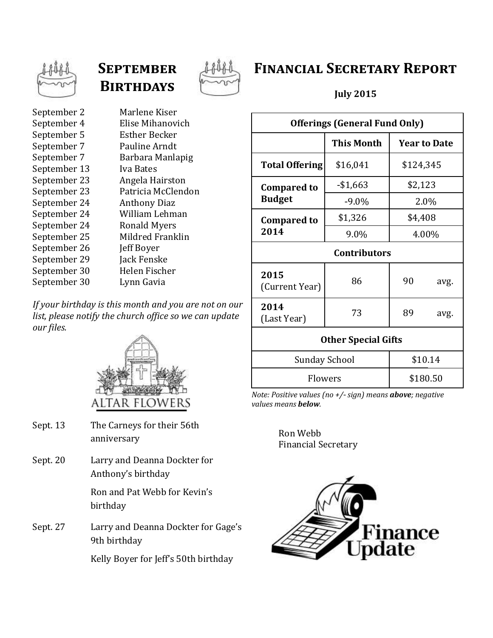

# **September Birthdays**



### **Financial Secretary Report**

**July 2015**

| <b>Offerings (General Fund Only)</b> |             |           |                     |  |
|--------------------------------------|-------------|-----------|---------------------|--|
|                                      | This Month  |           | <b>Year to Date</b> |  |
| <b>Total Offering</b>                | \$16,041    | \$124,345 |                     |  |
| <b>Compared to</b><br><b>Budget</b>  | $-$ \$1,663 | \$2,123   |                     |  |
|                                      | $-9.0\%$    | 2.0%      |                     |  |
| <b>Compared to</b><br>2014           | \$1,326     | \$4,408   |                     |  |
|                                      | 9.0%        | 4.00%     |                     |  |
| <b>Contributors</b>                  |             |           |                     |  |
| 2015<br>(Current Year)               | 86          | 90        | avg.                |  |
| 2014<br>(Last Year)                  | 73          | 89        | avg.                |  |
| <b>Other Special Gifts</b>           |             |           |                     |  |

| <b>Other Special Gifts</b> |          |
|----------------------------|----------|
| Sunday School              | \$10.14  |
| <b>Flowers</b>             | \$180.50 |

*Note: Positive values (no +/- sign) means above; negative values means below.*

> Ron Webb Financial Secretary



September 2 Marlene Kiser September 4 Elise Mihanovich September 5 Esther Becker September 7 Pauline Arndt September 7 Barbara Manlapig September 13 Iva Bates September 23 Angela Hairston September 23 Patricia McClendon September 24 Anthony Diaz September 24 William Lehman September 24 Ronald Myers September 25 Mildred Franklin September 26 Jeff Boyer September 29 Jack Fenske September 30 Helen Fischer September 30 Lynn Gavia

*If your birthday is this month and you are not on our list, please notify the church office so we can update our files.*



- Sept. 13 The Carneys for their 56th anniversary
- Sept. 20 Larry and Deanna Dockter for Anthony's birthday

Ron and Pat Webb for Kevin's birthday

Sept. 27 Larry and Deanna Dockter for Gage's 9th birthday

Kelly Boyer for Jeff's 50th birthday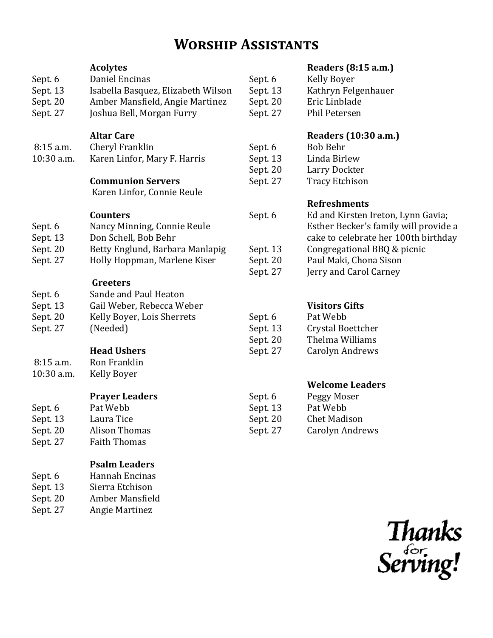### **Worship Assistants**

| Sept. 6<br>Sept. 13<br>Sept. 20<br>Sept. 27 | <b>Acolytes</b><br>Daniel Encinas<br>Isabella Basquez, Elizabeth Wilson<br>Amber Mansfield, Angie Martinez<br>Joshua Bell, Morgan Furry | Sept. 6<br>Sept. 13<br>Sept. 20<br>Sept. 27 |
|---------------------------------------------|-----------------------------------------------------------------------------------------------------------------------------------------|---------------------------------------------|
| 8:15 a.m.<br>10:30 a.m.                     | <b>Altar Care</b><br>Cheryl Franklin<br>Karen Linfor, Mary F. Harris<br><b>Communion Servers</b><br>Karen Linfor, Connie Reule          | Sept. 6<br>Sept. 13<br>Sept. 20<br>Sept. 27 |
| Sept. 6<br>Sept. 13                         | <b>Counters</b><br>Nancy Minning, Connie Reule<br>Don Schell, Bob Behr                                                                  | Sept. 6                                     |
| Sept. 20<br>Sept. 27                        | Betty Englund, Barbara Manlapig<br>Holly Hoppman, Marlene Kiser                                                                         | Sept. 13<br>Sept. 20<br>Sept. 27            |
| Sept. 6<br>Sept. 13<br>Sept. 20<br>Sept. 27 | Greeters<br>Sande and Paul Heaton<br>Gail Weber, Rebecca Weber<br>Kelly Boyer, Lois Sherrets<br>(Needed)<br><b>Head Ushers</b>          | Sept. 6<br>Sept. 13<br>Sept. 20<br>Sept. 27 |
| $8:15$ a.m.<br>10:30 a.m.                   | Ron Franklin<br>Kelly Boyer                                                                                                             |                                             |
| Sept. 6<br>Sept. 13<br>Sept. 20<br>Sept. 27 | <b>Prayer Leaders</b><br>Pat Webb<br>Laura Tice<br><b>Alison Thomas</b><br><b>Faith Thomas</b>                                          | Sept. 6<br>Sept. 13<br>Sept. 20<br>Sept. 27 |
| Sept. 6<br>Sept. 13<br>Sept. 20<br>Sept. 27 | <b>Psalm Leaders</b><br>Hannah Encinas<br>Sierra Etchison<br>Amber Mansfield<br><b>Angie Martinez</b>                                   |                                             |

### **Readers (8:15 a.m.)**

| Kelly Boyer         |
|---------------------|
| Kathryn Felgenhauer |
| Eric Linblade       |
| Phil Petersen       |
|                     |

#### **Readers (10:30 a.m.)**

Bob Behr Linda Birlew Larry Dockter Tracy Etchison

#### **Refreshments**

| Sept. 6  | Ed and Kirsten Ireton, Lynn Gavia;<br>Esther Becker's family will provide a<br>cake to celebrate her 100th birthday |
|----------|---------------------------------------------------------------------------------------------------------------------|
| Sept. 13 | Congregational BBQ & picnic                                                                                         |
| Sept. 20 | Paul Maki, Chona Sison                                                                                              |
| Sept. 27 | Jerry and Carol Carney                                                                                              |

#### **Visitors Gifts**

| Sept. 6  | Pat Webb          |
|----------|-------------------|
| Sept. 13 | Crystal Boettcher |
| Sept. 20 | Thelma Williams   |
| Sept. 27 | Carolyn Andrews   |

#### **Welcome Leaders**

| Peggy Moser         |
|---------------------|
| Pat Webb            |
| <b>Chet Madison</b> |
| Carolyn Andrews     |
|                     |